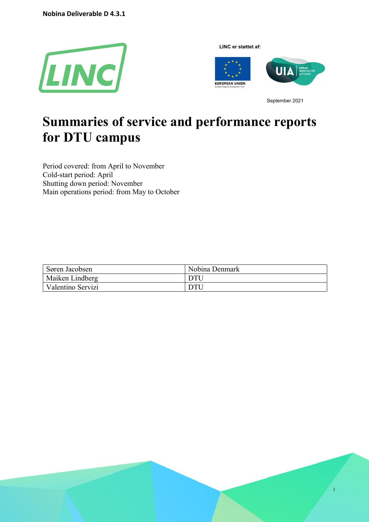**Nobina Deliverable D 4.3.1**



**LINC er støttet af:**



September 2021

1

# **Summaries of service and performance reports for DTU campus**

Period covered: from April to November Cold-start period: April Shutting down period: November Main operations period: from May to October

| Søren Jacobsen    | Nobina Denmark |
|-------------------|----------------|
| Maiken Lindberg   | DTU            |
| Valentino Servizi | DTU            |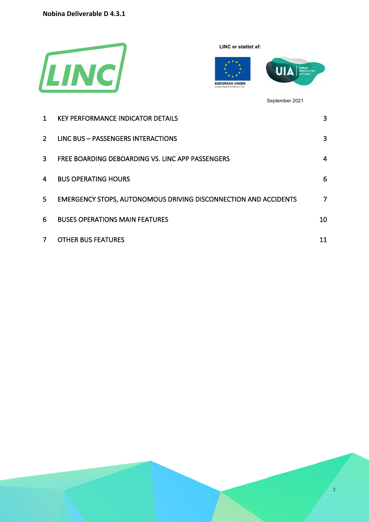**Nobina Deliverable D 4.3.1**



**LINC er støttet af:**



September 2021

| 1           | <b>KEY PERFORMANCE INDICATOR DETAILS</b>                               | 3  |
|-------------|------------------------------------------------------------------------|----|
| $2^{\circ}$ | LINC BUS - PASSENGERS INTERACTIONS                                     | 3  |
| 3           | FREE BOARDING DEBOARDING VS. LINC APP PASSENGERS                       | 4  |
| 4           | <b>BUS OPERATING HOURS</b>                                             | 6  |
| 5.          | <b>EMERGENCY STOPS, AUTONOMOUS DRIVING DISCONNECTION AND ACCIDENTS</b> | 7  |
| 6           | <b>BUSES OPERATIONS MAIN FEATURES</b>                                  | 10 |
|             | <b>OTHER BUS FEATURES</b>                                              | 11 |

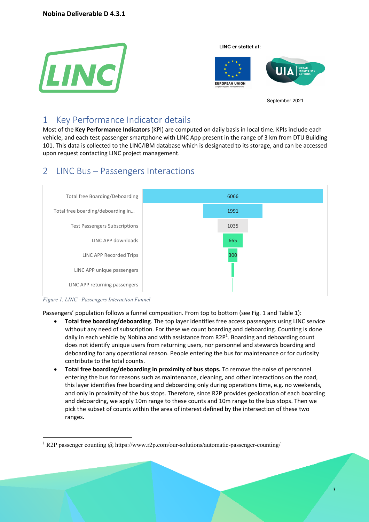



September 2021

## 1 Key Performance Indicator details

Most of the **Key Performance Indicators** (KPI) are computed on daily basis in local time. KPIs include each vehicle, and each test passenger smartphone with LINC App present in the range of 3 km from DTU Building 101. This data is collected to the LINC/IBM database which is designated to its storage, and can be accessed upon request contacting LINC project management.

## 2 LINC Bus – Passengers Interactions





Passengers' population follows a funnel composition. From top to bottom (see Fig. 1 and Table 1):

- **Total free boarding/deboarding**. The top layer identifies free access passengers using LINC service without any need of subscription. For these we count boarding and deboarding. Counting is done daily in each vehicle by Nobina and with assistance from R2P<sup>1</sup>. Boarding and deboarding count does not identify unique users from returning users, nor personnel and stewards boarding and deboarding for any operational reason. People entering the bus for maintenance or for curiosity contribute to the total counts.
- **Total free boarding/deboarding in proximity of bus stops.** To remove the noise of personnel entering the bus for reasons such as maintenance, cleaning, and other interactions on the road, this layer identifies free boarding and deboarding only during operations time, e.g. no weekends, and only in proximity of the bus stops. Therefore, since R2P provides geolocation of each boarding and deboarding, we apply 10m range to these counts and 10m range to the bus stops. Then we pick the subset of counts within the area of interest defined by the intersection of these two ranges.

<sup>&</sup>lt;sup>1</sup> R2P passenger counting  $\omega$  https://www.r2p.com/our-solutions/automatic-passenger-counting/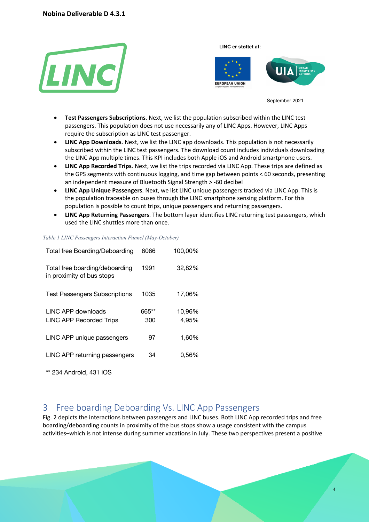



September 2021

- **Test Passengers Subscriptions**. Next, we list the population subscribed within the LINC test passengers. This population does not use necessarily any of LINC Apps. However, LINC Apps require the subscription as LINC test passenger.
- **LINC App Downloads**. Next, we list the LINC app downloads. This population is not necessarily subscribed within the LINC test passengers. The download count includes individuals downloading the LINC App multiple times. This KPI includes both Apple iOS and Android smartphone users.
- **LINC App Recorded Trips**. Next, we list the trips recorded via LINC App. These trips are defined as the GPS segments with continuous logging, and time gap between points < 60 seconds, presenting an independent measure of Bluetooth Signal Strength > -60 decibel
- **LINC App Unique Passengers**. Next, we list LINC unique passengers tracked via LINC App. This is the population traceable on buses through the LINC smartphone sensing platform. For this population is possible to count trips, unique passengers and returning passengers.
- **LINC App Returning Passengers**. The bottom layer identifies LINC returning test passengers, which used the LINC shuttles more than once.

| Total free Boarding/Deboarding                              | 6066  | 100,00% |
|-------------------------------------------------------------|-------|---------|
| Total free boarding/deboarding<br>in proximity of bus stops | 1991  | 32,82%  |
| <b>Test Passengers Subscriptions</b>                        | 1035  | 17,06%  |
| LINC APP downloads                                          | 665** | 10,96%  |
| <b>LINC APP Recorded Trips</b>                              | 300   | 4,95%   |
| LINC APP unique passengers                                  | 97    | 1,60%   |
| LINC APP returning passengers                               | 34    | 0.56%   |

## *Table 1 LINC Passengers Interaction Funnel (May-October)*

\*\* 234 Android, 431 iOS

## 3 Free boarding Deboarding Vs. LINC App Passengers

Fig. 2 depicts the interactions between passengers and LINC buses. Both LINC App recorded trips and free boarding/deboarding counts in proximity of the bus stops show a usage consistent with the campus activities–which is not intense during summer vacations in July. These two perspectives present a positive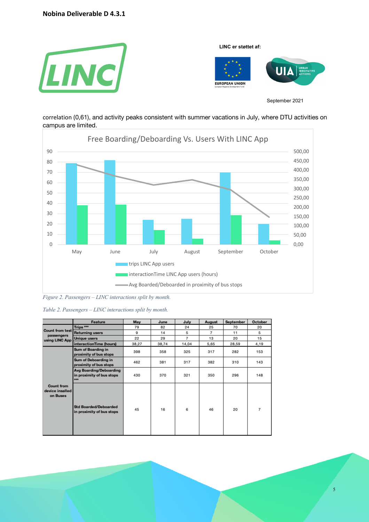

correlation (0,61), and activity peaks consistent with summer vacations in July, where DTU activities on campus are limited.



*Figure 2. Passengers – LINC interactions split by month.*

*Table 2. Passengers – LINC interactions split by month.*

|                                                  | Feature                                                          | May   | June  | July  | August | September | October |
|--------------------------------------------------|------------------------------------------------------------------|-------|-------|-------|--------|-----------|---------|
|                                                  | Trips <sup>***</sup>                                             | 79    | 82    | 24    | 25     | 70        | 20      |
| Count from test                                  | <b>Returning users</b>                                           | 9     | 14    | 5     | 7      | 11        | 5       |
| passengers<br>using LINC App                     | <b>Unique users</b>                                              | 22    | 29    | 7     | 13     | 20        | 15      |
|                                                  | interactionTime (hours)                                          | 38,27 | 38,74 | 14,04 | 5,65   | 28,59     | 4,19    |
|                                                  | Sum of Boarding in<br>proximity of bus stops                     | 398   | 358   | 325   | 317    | 282       | 153     |
| <b>Count from</b><br>device insalled<br>on Buses | Sum of Deboarding in<br>proximity of bus stops                   | 462   | 381   | 317   | 382    | 310       | 143     |
|                                                  | Avg Boarding/Deboarding<br>in proximity of bus stops<br>$\cdots$ | 430   | 370   | 321   | 350    | 296       | 148     |
|                                                  | <b>Std Boarded/Deboarded</b><br>in proximity of bus stops        | 45    | 16    | 6     | 46     | 20        | 7       |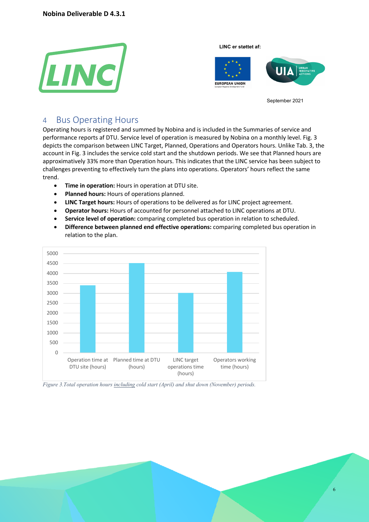



September 2021

## 4 Bus Operating Hours

Operating hours is registered and summed by Nobina and is included in the Summaries of service and performance reports af DTU. Service level of operation is measured by Nobina on a monthly level. Fig. 3 depicts the comparison between LINC Target, Planned, Operations and Operators hours. Unlike Tab. 3, the account in Fig. 3 includes the service cold start and the shutdown periods. We see that Planned hours are approximatively 33% more than Operation hours. This indicates that the LINC service has been subject to challenges preventing to effectively turn the plans into operations. Operators' hours reflect the same trend.

- **Time in operation:** Hours in operation at DTU site.
- **Planned hours:** Hours of operations planned.
- **LINC Target hours:** Hours of operations to be delivered as for LINC project agreement.
- **Operator hours:** Hours of accounted for personnel attached to LINC operations at DTU.
- **Service level of operation:** comparing completed bus operation in relation to scheduled.
- **Difference between planned end effective operations:** comparing completed bus operation in relation to the plan.



*Figure 3.Total operation hours including cold start (April) and shut down (November) periods.*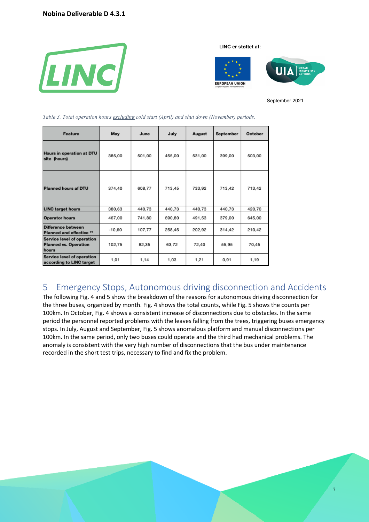

**LINC er støttet af:**



September 2021

| Feature                                                             | May      | June   | July   | August | September | October |
|---------------------------------------------------------------------|----------|--------|--------|--------|-----------|---------|
| Hours in operation at DTU<br>site (hours)                           | 385,00   | 501,00 | 455,00 | 531,00 | 399,00    | 503,00  |
| Planned hours af DTU                                                | 374,40   | 608,77 | 713,45 | 733,92 | 713,42    | 713,42  |
| <b>LINC target hours</b>                                            | 380,63   | 440,73 | 440,73 | 440,73 | 440,73    | 420,70  |
| <b>Operator hours</b>                                               | 467,00   | 741,80 | 690,80 | 491,53 | 379,00    | 645,00  |
| Difference between<br>Planned and effective **                      | $-10,60$ | 107,77 | 258,45 | 202,92 | 314,42    | 210,42  |
| Service level of operation<br><b>Planned vs. Operation</b><br>hours | 102,75   | 82,35  | 63,72  | 72,40  | 55,95     | 70,45   |
| Service level of operation<br>according to LINC target              | 1,01     | 1,14   | 1,03   | 1,21   | 0,91      | 1,19    |

*Table 3. Total operation hours excluding cold start (April) and shut down (November) periods.*

## 5 Emergency Stops, Autonomous driving disconnection and Accidents

The following Fig. 4 and 5 show the breakdown of the reasons for autonomous driving disconnection for the three buses, organized by month. Fig. 4 shows the total counts, while Fig. 5 shows the counts per 100km. In October, Fig. 4 shows a consistent increase of disconnections due to obstacles. In the same period the personnel reported problems with the leaves falling from the trees, triggering buses emergency stops. In July, August and September, Fig. 5 shows anomalous platform and manual disconnections per 100km. In the same period, only two buses could operate and the third had mechanical problems. The anomaly is consistent with the very high number of disconnections that the bus under maintenance recorded in the short test trips, necessary to find and fix the problem.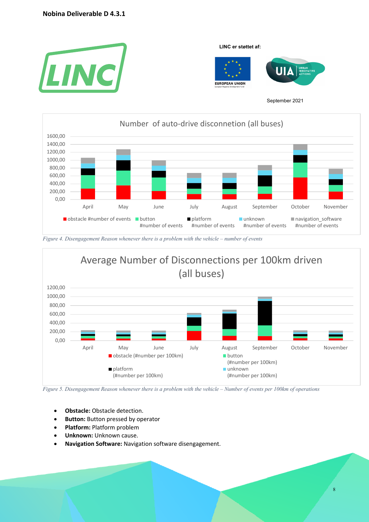



*Figure 4. Disengagement Reason whenever there is a problem with the vehicle – number of events*



*Figure 5. Disengagement Reason whenever there is a problem with the vehicle – Number of events per 100km of operations* 

- **Obstacle:** Obstacle detection.
- **Button:** Button pressed by operator
- **Platform:** Platform problem
- **Unknown:** Unknown cause.

• **Navigation Software:** Navigation software disengagement.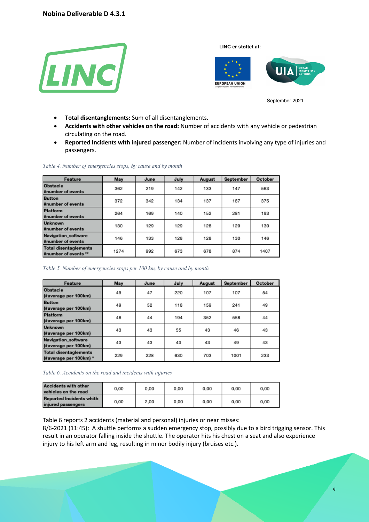



September 2021

- **Total disentanglements:** Sum of all disentanglements.
- **Accidents with other vehicles on the road:** Number of accidents with any vehicle or pedestrian circulating on the road.
- **Reported Incidents with injured passenger:** Number of incidents involving any type of injuries and passengers.

| Feature                                              | May  | June | July | August | September | October |
|------------------------------------------------------|------|------|------|--------|-----------|---------|
| Obstacle<br>#number of events                        | 362  | 219  | 142  | 133    | 147       | 563     |
| <b>Button</b><br>#number of events                   | 372  | 342  | 134  | 137    | 187       | 375     |
| <b>Platform</b><br>#number of events                 | 264  | 169  | 140  | 152    | 281       | 193     |
| <b>Unknown</b><br>#number of events                  | 130  | 129  | 129  | 128    | 129       | 130     |
| Navigation_software<br>#number of events             | 146  | 133  | 128  | 128    | 130       | 146     |
| <b>Total disentaglements</b><br>#number of events ** | 1274 | 992  | 673  | 678    | 874       | 1407    |

#### *Table 4. Number of emergencies stops, by cause and by month*

*Table 5. Number of emergencies stops per 100 km, by cause and by month*

| Feature                                                | May | June | July | August | September | October |
|--------------------------------------------------------|-----|------|------|--------|-----------|---------|
| Obstacle<br>(#average per 100km)                       | 49  | 47   | 220  | 107    | 107       | 54      |
| <b>Button</b><br>(#average per 100km)                  | 49  | 52   | 118  | 159    | 241       | 49      |
| Platform<br>(#average per 100km)                       | 46  | 44   | 194  | 352    | 558       | 44      |
| <b>Unknown</b><br>(#average per 100km)                 | 43  | 43   | 55   | 43     | 46        | 43      |
| Navigation_software<br>(#average per 100km)            | 43  | 43   | 43   | 43     | 49        | 43      |
| <b>Total disentaglements</b><br>(#average per 100km) * | 229 | 228  | 630  | 703    | 1001      | 233     |

*Table 6. Accidents on the road and incidents with injuries*

| <b>Accidents with other</b><br>vehicles on the road   | 0.00 | 0.00 | 0.00 | 0.00 | 0.00 | 0.00 |
|-------------------------------------------------------|------|------|------|------|------|------|
| <b>Reported Incidents whith</b><br>injured passengers | 0.00 | 2.00 | 0.00 | 0.00 | 0.00 | 0.00 |

Table 6 reports 2 accidents (material and personal) injuries or near misses:

8/6-2021 (11:45): A shuttle performs a sudden emergency stop, possibly due to a bird trigging sensor. This result in an operator falling inside the shuttle. The operator hits his chest on a seat and also experience injury to his left arm and leg, resulting in minor bodily injury (bruises etc.).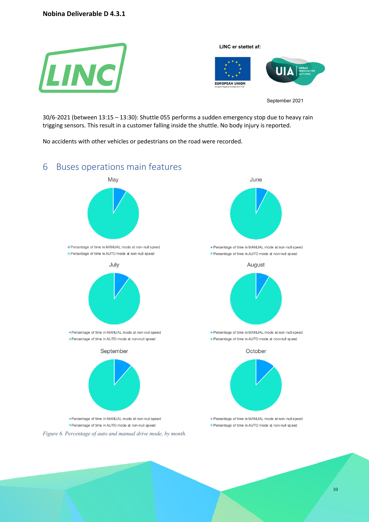

30/6-2021 (between 13:15 – 13:30): Shuttle 055 performs a sudden emergency stop due to heavy rain trigging sensors. This result in a customer falling inside the shuttle. No body injury is reported.

No accidents with other vehicles or pedestrians on the road were recorded.

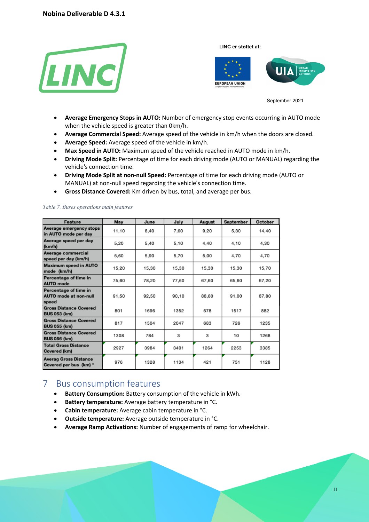



September 2021

- **Average Emergency Stops in AUTO:** Number of emergency stop events occurring in AUTO mode when the vehicle speed is greater than 0km/h.
- **Average Commercial Speed:** Average speed of the vehicle in km/h when the doors are closed.
- **Average Speed:** Average speed of the vehicle in km/h.
- **Max Speed in AUTO:** Maximum speed of the vehicle reached in AUTO mode in km/h.
- **Driving Mode Split:** Percentage of time for each driving mode (AUTO or MANUAL) regarding the vehicle's connection time.
- **Driving Mode Split at non-null Speed:** Percentage of time for each driving mode (AUTO or MANUAL) at non-null speed regarding the vehicle's connection time.
- **Gross Distance Covered:** Km driven by bus, total, and average per bus.

#### Feature May June July September October August Average emergency stops 11.10 8,40 7.60 9,20 5,30 14,40 in AUTO mode per day Average speed per day 5,20 5,40 5,10 4,40 4,10 4,30 (km/h) Average commercial 5,60 5,90 5,70 5,00 4.70 4.70 speed per day (km/h) Maximum speed in AUTO 15,20 15,30 15,30 15,30 15,30 15,70 mode (km/h) Percentage of time in 75,60 78,20 77,60 67,60 65,60 67,20 **AUTO** mode Percentage of time in **AUTO** mode at non-null 91,50 92,50 90.10 88,60 91.00 87,80 speed **Gross Distance Covered** 801 1696 1352 578 1517 882 **BUS 053 (km) Gross Distance Covered** 817 1504 2047 683 726 1235 **BUS 055 (km) Gross Distance Covered** 1308 784 3 3 10 1268 **BUS 056 (km) Total Gross Distance** 2927 3984 3401 1264 2253 3385 Covered (km) **Averag Gross Distance** 976 1328 1134 421 751 1128 Covered per bus (km) \*

#### *Table 7. Buses operations main features*

## 7 Bus consumption features

- **Battery Consumption:** Battery consumption of the vehicle in kWh.
- **Battery temperature:** Average battery temperature in °C.
- **Cabin temperature:** Average cabin temperature in °C.
- **Outside temperature:** Average outside temperature in °C.
- **Average Ramp Activations:** Number of engagements of ramp for wheelchair.